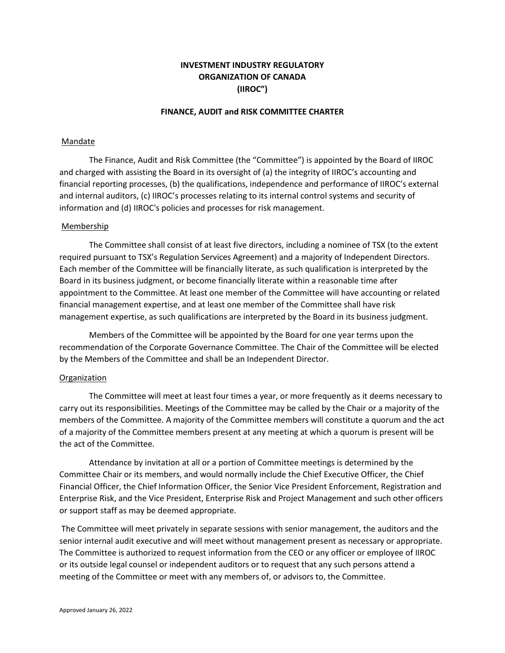# **INVESTMENT INDUSTRY REGULATORY ORGANIZATION OF CANADA (IIROC")**

# **FINANCE, AUDIT and RISK COMMITTEE CHARTER**

# Mandate

The Finance, Audit and Risk Committee (the "Committee") is appointed by the Board of IIROC and charged with assisting the Board in its oversight of (a) the integrity of IIROC's accounting and financial reporting processes, (b) the qualifications, independence and performance of IIROC's external and internal auditors, (c) IIROC's processes relating to its internal control systems and security of information and (d) IIROC's policies and processes for risk management.

# Membership

The Committee shall consist of at least five directors, including a nominee of TSX (to the extent required pursuant to TSX's Regulation Services Agreement) and a majority of Independent Directors. Each member of the Committee will be financially literate, as such qualification is interpreted by the Board in its business judgment, or become financially literate within a reasonable time after appointment to the Committee. At least one member of the Committee will have accounting or related financial management expertise, and at least one member of the Committee shall have risk management expertise, as such qualifications are interpreted by the Board in its business judgment.

Members of the Committee will be appointed by the Board for one year terms upon the recommendation of the Corporate Governance Committee. The Chair of the Committee will be elected by the Members of the Committee and shall be an Independent Director.

# Organization

The Committee will meet at least four times a year, or more frequently as it deems necessary to carry out its responsibilities. Meetings of the Committee may be called by the Chair or a majority of the members of the Committee. A majority of the Committee members will constitute a quorum and the act of a majority of the Committee members present at any meeting at which a quorum is present will be the act of the Committee.

Attendance by invitation at all or a portion of Committee meetings is determined by the Committee Chair or its members, and would normally include the Chief Executive Officer, the Chief Financial Officer, the Chief Information Officer, the Senior Vice President Enforcement, Registration and Enterprise Risk, and the Vice President, Enterprise Risk and Project Management and such other officers or support staff as may be deemed appropriate.

The Committee will meet privately in separate sessions with senior management, the auditors and the senior internal audit executive and will meet without management present as necessary or appropriate. The Committee is authorized to request information from the CEO or any officer or employee of IIROC or its outside legal counsel or independent auditors or to request that any such persons attend a meeting of the Committee or meet with any members of, or advisors to, the Committee.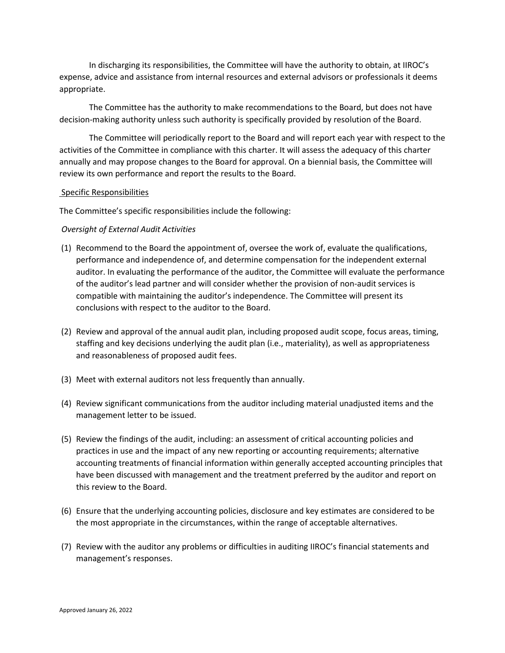In discharging its responsibilities, the Committee will have the authority to obtain, at IIROC's expense, advice and assistance from internal resources and external advisors or professionals it deems appropriate.

The Committee has the authority to make recommendations to the Board, but does not have decision-making authority unless such authority is specifically provided by resolution of the Board.

The Committee will periodically report to the Board and will report each year with respect to the activities of the Committee in compliance with this charter. It will assess the adequacy of this charter annually and may propose changes to the Board for approval. On a biennial basis, the Committee will review its own performance and report the results to the Board.

# Specific Responsibilities

The Committee's specific responsibilities include the following:

# *Oversight of External Audit Activities*

- (1) Recommend to the Board the appointment of, oversee the work of, evaluate the qualifications, performance and independence of, and determine compensation for the independent external auditor. In evaluating the performance of the auditor, the Committee will evaluate the performance of the auditor's lead partner and will consider whether the provision of non-audit services is compatible with maintaining the auditor's independence. The Committee will present its conclusions with respect to the auditor to the Board.
- (2) Review and approval of the annual audit plan, including proposed audit scope, focus areas, timing, staffing and key decisions underlying the audit plan (i.e., materiality), as well as appropriateness and reasonableness of proposed audit fees.
- (3) Meet with external auditors not less frequently than annually.
- (4) Review significant communications from the auditor including material unadjusted items and the management letter to be issued.
- (5) Review the findings of the audit, including: an assessment of critical accounting policies and practices in use and the impact of any new reporting or accounting requirements; alternative accounting treatments of financial information within generally accepted accounting principles that have been discussed with management and the treatment preferred by the auditor and report on this review to the Board.
- (6) Ensure that the underlying accounting policies, disclosure and key estimates are considered to be the most appropriate in the circumstances, within the range of acceptable alternatives.
- (7) Review with the auditor any problems or difficulties in auditing IIROC's financial statements and management's responses.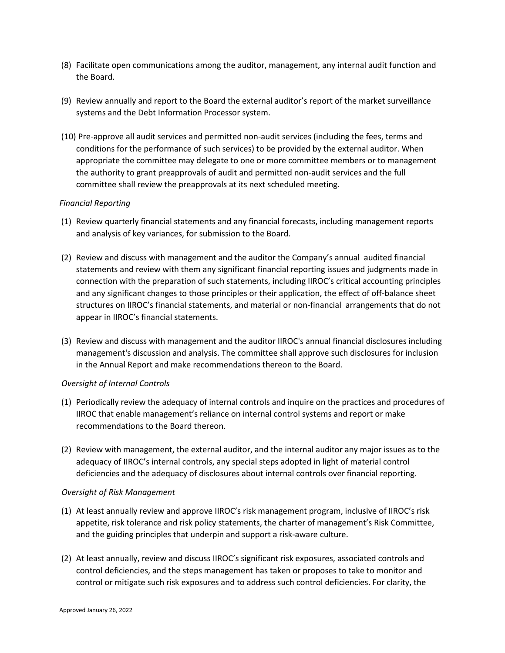- (8) Facilitate open communications among the auditor, management, any internal audit function and the Board.
- (9) Review annually and report to the Board the external auditor's report of the market surveillance systems and the Debt Information Processor system.
- (10) Pre-approve all audit services and permitted non-audit services (including the fees, terms and conditions for the performance of such services) to be provided by the external auditor. When appropriate the committee may delegate to one or more committee members or to management the authority to grant preapprovals of audit and permitted non-audit services and the full committee shall review the preapprovals at its next scheduled meeting.

# *Financial Reporting*

- (1) Review quarterly financial statements and any financial forecasts, including management reports and analysis of key variances, for submission to the Board.
- (2) Review and discuss with management and the auditor the Company's annual audited financial statements and review with them any significant financial reporting issues and judgments made in connection with the preparation of such statements, including IIROC's critical accounting principles and any significant changes to those principles or their application, the effect of off-balance sheet structures on IIROC's financial statements, and material or non-financial arrangements that do not appear in IIROC's financial statements.
- (3) Review and discuss with management and the auditor IIROC's annual financial disclosures including management's discussion and analysis. The committee shall approve such disclosures for inclusion in the Annual Report and make recommendations thereon to the Board.

# *Oversight of Internal Controls*

- (1) Periodically review the adequacy of internal controls and inquire on the practices and procedures of IIROC that enable management's reliance on internal control systems and report or make recommendations to the Board thereon.
- (2) Review with management, the external auditor, and the internal auditor any major issues as to the adequacy of IIROC's internal controls, any special steps adopted in light of material control deficiencies and the adequacy of disclosures about internal controls over financial reporting.

# *Oversight of Risk Management*

- (1) At least annually review and approve IIROC's risk management program, inclusive of IIROC's risk appetite, risk tolerance and risk policy statements, the charter of management's Risk Committee, and the guiding principles that underpin and support a risk-aware culture.
- (2) At least annually, review and discuss IIROC's significant risk exposures, associated controls and control deficiencies, and the steps management has taken or proposes to take to monitor and control or mitigate such risk exposures and to address such control deficiencies. For clarity, the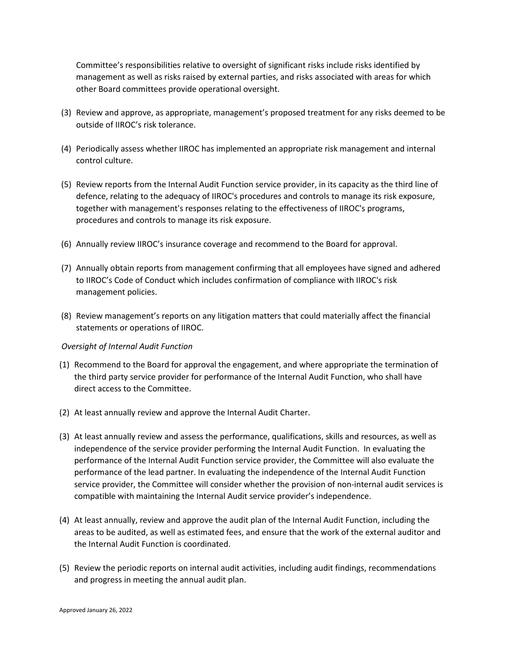Committee's responsibilities relative to oversight of significant risks include risks identified by management as well as risks raised by external parties, and risks associated with areas for which other Board committees provide operational oversight.

- (3) Review and approve, as appropriate, management's proposed treatment for any risks deemed to be outside of IIROC's risk tolerance.
- (4) Periodically assess whether IIROC has implemented an appropriate risk management and internal control culture.
- (5) Review reports from the Internal Audit Function service provider, in its capacity as the third line of defence, relating to the adequacy of IIROC's procedures and controls to manage its risk exposure, together with management's responses relating to the effectiveness of IIROC's programs, procedures and controls to manage its risk exposure.
- (6) Annually review IIROC's insurance coverage and recommend to the Board for approval.
- (7) Annually obtain reports from management confirming that all employees have signed and adhered to IIROC's Code of Conduct which includes confirmation of compliance with IIROC's risk management policies.
- (8) Review management's reports on any litigation matters that could materially affect the financial statements or operations of IIROC.

# *Oversight of Internal Audit Function*

- (1) Recommend to the Board for approval the engagement, and where appropriate the termination of the third party service provider for performance of the Internal Audit Function, who shall have direct access to the Committee.
- (2) At least annually review and approve the Internal Audit Charter.
- (3) At least annually review and assess the performance, qualifications, skills and resources, as well as independence of the service provider performing the Internal Audit Function. In evaluating the performance of the Internal Audit Function service provider, the Committee will also evaluate the performance of the lead partner. In evaluating the independence of the Internal Audit Function service provider, the Committee will consider whether the provision of non-internal audit services is compatible with maintaining the Internal Audit service provider's independence.
- (4) At least annually, review and approve the audit plan of the Internal Audit Function, including the areas to be audited, as well as estimated fees, and ensure that the work of the external auditor and the Internal Audit Function is coordinated.
- (5) Review the periodic reports on internal audit activities, including audit findings, recommendations and progress in meeting the annual audit plan.